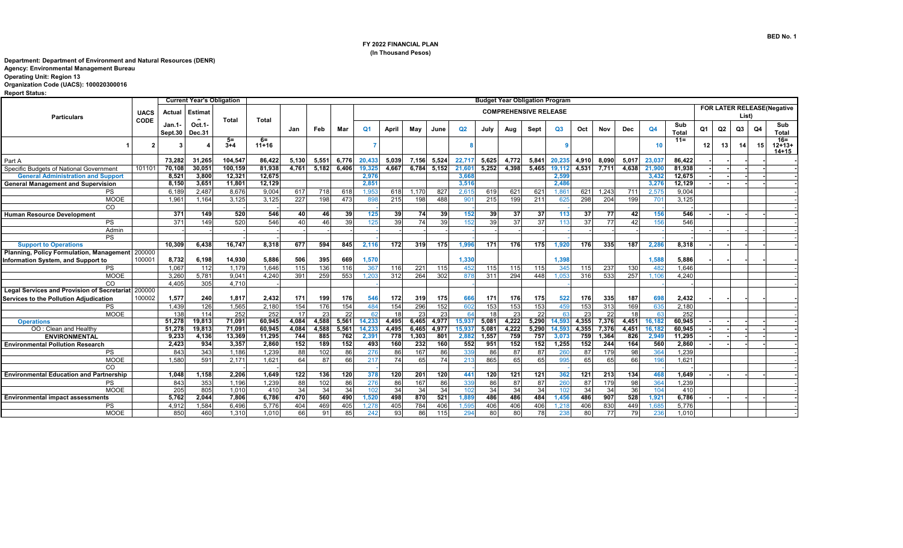## **FY 2022 FINANCIAL PLAN (In Thousand Pesos)**

## **Department: Department of Environment and Natural Resources (DENR)**

 **Agency: Environmental Management Bureau** 

 **Operating Unit: Region 13** 

## **Organization Code (UACS): 100020300016**

 **Report Status:** 

|                                                    |             |         | <b>Current Year's Obligation</b> |                 |               | <b>Budget Year Obligation Program</b> |       |                              |                |       |             |       |                 |       |       |       |                 |       |            |                 |        |                            |      |                |       |    |                    |
|----------------------------------------------------|-------------|---------|----------------------------------|-----------------|---------------|---------------------------------------|-------|------------------------------|----------------|-------|-------------|-------|-----------------|-------|-------|-------|-----------------|-------|------------|-----------------|--------|----------------------------|------|----------------|-------|----|--------------------|
|                                                    | <b>UACS</b> | Actual  | Estimat                          |                 |               |                                       |       | <b>COMPREHENSIVE RELEASE</b> |                |       |             |       |                 |       |       |       |                 |       |            |                 |        | FOR LATER RELEASE(Negative |      |                |       |    |                    |
| <b>Particulars</b>                                 | <b>CODE</b> |         |                                  | Total           | <b>Total</b>  |                                       |       |                              |                |       |             |       |                 |       |       |       |                 |       |            |                 |        |                            |      |                | List) |    |                    |
|                                                    |             | Jan.1-  | Oct.1-                           |                 |               | Jan                                   | Feb   | Mar                          | Q <sub>1</sub> | April | May         | June  | Q <sub>2</sub>  | July  | Aug   | Sept  | Q3              | Oct   | <b>Nov</b> | Dec             | Q4     | Sub                        | Q1   | Q <sub>2</sub> | Q3    | Q4 | Sub                |
|                                                    |             | Sept.30 | Dec.31                           |                 |               |                                       |       |                              |                |       |             |       |                 |       |       |       |                 |       |            |                 |        | <b>Total</b>               |      |                |       |    | <b>Total</b>       |
|                                                    |             |         |                                  | $5=$<br>$3 + 4$ | 6=<br>$11+16$ |                                       |       |                              |                |       |             |       |                 |       |       |       |                 |       |            |                 | 10     | $11 =$                     | 12 I | 13             | 14    |    | $16 =$<br>$12+13+$ |
|                                                    |             |         |                                  |                 |               |                                       |       |                              |                |       |             |       |                 |       |       |       |                 |       |            |                 |        |                            |      |                |       |    | $14 + 15$          |
| Part A                                             |             | 73,282  | 31,265                           | 104.547         | 86.422        | 5,130                                 | 5,551 | 6.776                        | 20,433         | 5,039 | 7.156       | 5,524 | 22,717          | 5,625 | 4,772 | 5.841 | 20,235          | 4.910 | 8.090      | 5,017           | 23,037 | 86.422                     |      |                |       |    |                    |
| Specific Budgets of National Government            | 101101      | 70,108  | 30,051                           | 100.159         | 81.938        | 4,761                                 | 5,182 | 6.406                        | 19,325         | 4.667 | 6.784 5.152 |       | 21,601          | 5.252 | 4,398 | 5.465 | 19,112          | 4,531 | 7,711      | 4,638           | 21,90  | 81.938                     |      |                |       |    |                    |
| <b>General Administration and Support</b>          |             | 8,521   | 3,800                            | 12,321          | 12,675        |                                       |       |                              | 2,976          |       |             |       | 3,668           |       |       |       | 2,59            |       |            |                 | 3,432  | 12,675                     |      |                |       |    |                    |
| <b>General Management and Supervision</b>          |             | 8,150   | 3,651                            | 11,801          | 12,129        |                                       |       |                              | 2,851          |       |             |       | 3,516           |       |       |       | 2,486           |       |            |                 | 3,276  | 12,129                     |      |                |       |    |                    |
| <b>PS</b>                                          |             | 6.189   | 2.487                            | 8.676           | 9.004         | 617                                   | 718   | 618                          | 1.953          | 618   | 1.170       | 827   | 2.61!           | 619   | 621   | 621   | 1.86            | 621   | 1.243      | 711             | 2.575  | 9.004                      |      |                |       |    |                    |
| <b>MOOE</b>                                        |             | 1,961   | 1,164                            | 3,125           | 3,125         | 227                                   | 198   | 473                          | 898            | 215   | 198         | 488   | 90 <sup>1</sup> | 215   | 199   | 211   | 625             | 298   | 204        | 199             | 701    | 3,125                      |      |                |       |    |                    |
| CO                                                 |             |         |                                  |                 |               |                                       |       |                              |                |       |             |       |                 |       |       |       |                 |       |            |                 |        |                            |      |                |       |    |                    |
| <b>Human Resource Development</b>                  |             | 371     | 149                              | 520             | 546           | 40                                    | 46    | 39                           | 125            | 39    | 74          | 39    | 152             | 39    | 37    | 37    | 113             | 37    | 77         | 42              | 156    | 546                        |      |                |       |    |                    |
| PS                                                 |             | 371     | 149                              | 520             | 546           | 40                                    | 46    | 39                           | 125            | 39    | 74          | 39    | 152             | 39    | 37    | 37    | 113             | 37    | 77         | 42              |        | 546                        |      |                |       |    |                    |
| Admin                                              |             |         |                                  |                 |               |                                       |       |                              |                |       |             |       |                 |       |       |       |                 |       |            |                 |        |                            |      |                |       |    |                    |
| <b>PS</b>                                          |             |         |                                  |                 |               |                                       |       |                              |                |       |             |       |                 |       |       |       |                 |       |            |                 |        |                            |      |                |       |    |                    |
| <b>Support to Operations</b>                       |             | 10,309  | 6,438                            | 16,747          | 8,318         | 677                                   | 594   | 845                          | 2,116          | 172   | 319         | 175   | 1,996           | 171   | 176   | 175   | 1.920           | 176   | 335        | 187             | 2.286  | 8,318                      |      |                |       |    |                    |
| Planning, Policy Formulation, Management 200000    |             |         |                                  |                 |               |                                       |       |                              |                |       |             |       |                 |       |       |       |                 |       |            |                 |        |                            |      |                |       |    |                    |
| Information System, and Support to                 | 100001      | 8,732   | 6,198                            | 14,930          | 5,886         | 506                                   | 395   | 669                          | 1,570          |       |             |       | 1,330           |       |       |       | 1,398           |       |            |                 | 1,588  | 5,886                      |      |                |       |    |                    |
| <b>PS</b>                                          |             | 1,067   | 112                              | 1.179           | 1,646         | 115                                   | 136   | 116                          | 367            | 116   | 221         | 115   | 452             | 115   | 115   | 115   | 345             | 115   | 237        | 130             | 482    | 1.646                      |      |                |       |    |                    |
| <b>MOOE</b>                                        |             | 3.260   | 5.781                            | 9.041           | 4.240         | 391                                   | 259   | 553                          | 1.203          | 312   | 264         | 302   | 878             | 311   | 294   | 448   | 1.053           | 316   | 533        | 257             | 1.106  | 4.240                      |      |                |       |    |                    |
| CO                                                 |             | 4.405   | 305                              | 4.710           |               |                                       |       |                              |                |       |             |       |                 |       |       |       |                 |       |            |                 |        |                            |      |                |       |    |                    |
| Legal Services and Provision of Secretariat 200000 |             |         |                                  |                 |               |                                       |       |                              |                |       |             |       |                 |       |       |       |                 |       |            |                 |        |                            |      |                |       |    |                    |
| Services to the Pollution Adjudication             | 100002      | 1,577   | 240                              | 1,817           | 2,432         | 171                                   | 199   | 176                          | 546            | 172   | 319         | 175   | 666             | 171   | 176   | 175   | 522             | 176   | 335        | 187             | 698    | 2,432                      |      |                |       |    |                    |
| <b>PS</b>                                          |             | 1.439   | 126                              | 1.565           | 2.180         | 154                                   | 176   | 154                          | 484            | 154   | 296         | 152   | 602             | 153   | 153   | 153   | 459             | 153   | 313        | 169             | 635    | 2.180                      |      |                |       |    |                    |
| <b>MOOE</b>                                        |             | 138     | 114                              | 252             | 252           | 17                                    | 23    | 22                           | <b>62</b>      | 18    | 23          | 23    | 64              | 18    | 23    | 22    |                 | 23    | 22         | 18 <sup>1</sup> |        | 252                        |      |                |       |    |                    |
| <b>Operations</b>                                  |             | 51,278  | 19,813                           | 71,091          | 60,945        | 4,084                                 | 4,588 | 5,561                        | 14,233         | 4,495 | 6,465       | 4,977 | 15,93           | 5,081 | 4,222 | 5,290 | 14,59           | 4,355 | 7,376      | 4,451           | 16,182 | 60.945                     |      |                |       |    |                    |
| OO: Clean and Healthy                              |             | 51,278  | 19,813                           | 71,091          | 60,945        | 4,084                                 | 4,588 | 5,561                        | 14,233         | 4,495 | 6,465       | 4,977 | 15,937          | 5,081 | 4,222 | 5,290 | 14,593          | 4,355 | 7,376      | 4,451           | 16,182 | 60,945                     |      |                |       |    |                    |
| <b>ENVIRONMENTAL</b>                               |             | 9,233   | 4,136                            | 13,369          | 11,295        | 744                                   | 885   | 762                          | 2,391          | 778   | 1,303       | 801   | 2,88            | 1,557 | 759   | 757   | 3,07            | 759   | 1,364      | 826             | 2,949  | 11,295                     |      |                |       |    |                    |
| <b>Environmental Pollution Research</b>            |             | 2,423   | 934                              | 3,357           | 2,860         | 152                                   | 189   | 152                          | 493            | 160   | 232         | 160   | 552             | 951   | 152   | 152   | 1,255           | 152   | 244        | 164             | 560    | 2,860                      |      |                |       |    |                    |
| <b>PS</b>                                          |             | 843     | 343                              | 1.186           | 1.239         | 88                                    | 102   | 86                           | 276            | 86    | 167         | 86    | 339             | 86    | 87    | 87    | 26              | 87    | 179        | 98              | 364    | 1.239                      |      |                |       |    |                    |
| <b>MOOE</b>                                        |             | 1.580   | 591                              | 2,171           | 1.621         | 64                                    | 87    | 66                           | 217            | 74    | 65          | 74    | 213             | 865   | 65    | 65    | 99 <sub>5</sub> | 65    | 65         | 66              |        | 1.621                      |      |                |       |    |                    |
| CO                                                 |             |         |                                  |                 |               |                                       |       |                              |                |       |             |       |                 |       |       |       |                 |       |            |                 |        |                            |      |                |       |    |                    |
| <b>Environmental Education and Partnership</b>     |             | 1,048   | 1,158                            | 2,206           | 1,649         | 122                                   | 136   | 120                          | 378            | 120   | 201         | 120   | 441             | 120   | 121   | 121   | 362             | 121   | 213        | 134             | 468    | 1,649                      |      |                |       |    |                    |
| <b>PS</b>                                          |             | 843     | 353                              | 1.196           | 1,239         | 88                                    | 102   | 86                           | 276            | 86    | 167         | 86    | 339             | 86    | 87    | 87    | 260             | 87    | 179        | 98              | 364    | 1.239                      |      |                |       |    |                    |
| <b>MOOE</b>                                        |             | 205     | 805                              | 1.010           | 410           | 34                                    | 34    | 34                           | 102            | 34    | 34          | 34    | 102             | 34    | 34    | 34    | 102             | 34    | 34         | 36              | 104    | 410                        |      |                |       |    |                    |
| <b>Environmental impact assessments</b>            |             | 5,762   | 2,044                            | 7,806           | 6,786         | 470                                   | 560   | 490                          | 1,520          | 498   | 870         | 521   | 1,889           | 486   | 486   | 484   | 1,456           | 486   | 907        | 528             | 1,92   | 6,786                      |      |                |       |    |                    |
| <b>PS</b>                                          |             | 4.912   | 1,584                            | 6.496           | 5,776         | 404                                   | 469   | 405                          | 1.278          | 405   | 784         | 406   | 1,595           | 406   | 406   | 406   | 1.218           | 406   | 830        | 449             | 1,685  | 5,776                      |      |                |       |    |                    |
| <b>MOOE</b>                                        |             | 850     | 460                              | 1.310           | 1.010         | 66                                    | 91    | 85                           | 242            | 93    | 86          | 115   | 294             | 80    | 80    | 78    | 238             | 80    | 77         | 79              | 236    | 1.010                      |      |                |       |    |                    |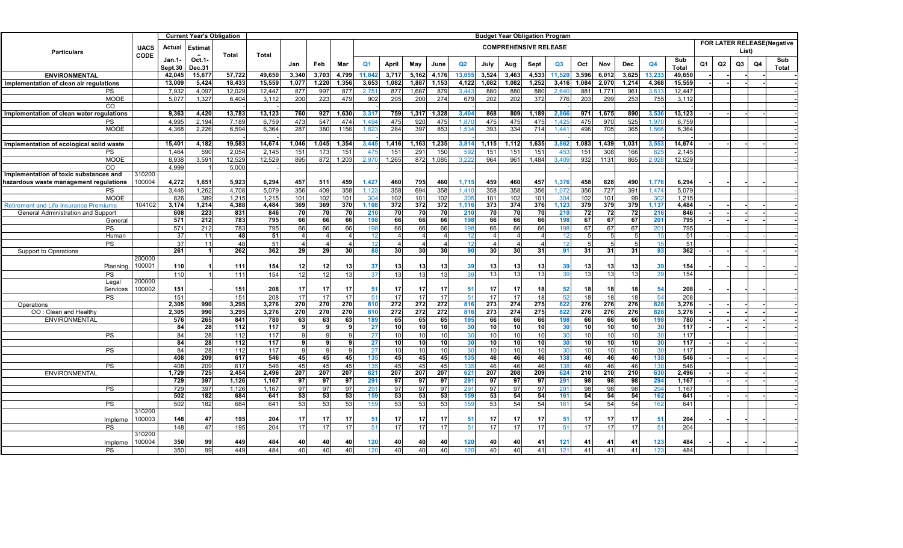|                                                |             |                   | <b>Current Year's Obligation</b> |                | <b>Budget Year Obligation Program</b> |                |                |           |                                                                     |                |           |                 |                 |                 |           |           |                  |                 |           |           |                 |                     |    |                |    |    |              |
|------------------------------------------------|-------------|-------------------|----------------------------------|----------------|---------------------------------------|----------------|----------------|-----------|---------------------------------------------------------------------|----------------|-----------|-----------------|-----------------|-----------------|-----------|-----------|------------------|-----------------|-----------|-----------|-----------------|---------------------|----|----------------|----|----|--------------|
| <b>Particulars</b>                             | <b>UACS</b> | Actual            | <b>Estimat</b>                   |                |                                       |                |                |           | FOR LATER RELEASE(Negative<br><b>COMPREHENSIVE RELEASE</b><br>List) |                |           |                 |                 |                 |           |           |                  |                 |           |           |                 |                     |    |                |    |    |              |
|                                                | <b>CODE</b> | Jan.1-<br>Sept.30 | Oct.1-<br>Dec.31                 | Total          | <b>Total</b>                          | Jan            | Feb            | Mar       | Q <sub>1</sub>                                                      | April          | May       | June            | Q2              | July            | Aug       | Sept      | Q3               | Oct             | Nov       | Dec       | Q4              | Sub<br><b>Total</b> | Q1 | Q <sub>2</sub> | Q3 | Q4 | Sub<br>Total |
| <b>ENVIRONMENTAL</b>                           |             | 42,045            | 15,677                           | 57,722         | 49,650                                | 3,340          | 3,703          | 4,799     | 11,842                                                              | 3,717          | 5,162     | 4,176           | 13,055          | 3,524           | 3,463     | 4,533     | 11,520           | 3,596           | 6,012     | 3,625     | 13,233          | 49,650              |    |                |    |    |              |
| Implementation of clean air regulations        |             | 13,009            | 5,424                            | 18,433         | 15,559                                | 1,077          | 1,220          | 1,356     | 3,653                                                               | 1,082          | 1,887     | 1,153           | 4,122           | 1,082           | 1,082     | 1,252     | 3,416            | 1,084           | 2,070     | 1,214     | 4,368           | 15,559              |    |                |    |    |              |
| PS                                             |             | 7,932             | 4,097                            | 12,029         | 12,447                                | 877            | 997            | 877       | 2,75                                                                | 877            | 1,687     | 879             | 3,443           | 880             | 880       | 880       | 2,640            | 881             | 1,771     | 961       | 3,61            | 12,447              |    |                |    |    |              |
| <b>MOOE</b>                                    |             | 5,077             | 1,327                            | 6,404          | 3,112                                 | 200            | 223            | 479       | 902                                                                 | 205            | 200       | 274             | 679             | 202             | 202       | 372       | 776              | 203             | 299       | 253       | 755             | 3,112               |    |                |    |    |              |
| CO                                             |             |                   |                                  |                |                                       |                |                |           |                                                                     |                |           |                 |                 |                 |           |           |                  |                 |           |           |                 |                     |    |                |    |    |              |
| Implementation of clean water regulations      |             | 9,363             | 4,420                            | 13,783         | 13,123                                | 760            | 927            | 1,630     | 3,317                                                               | 759            | 1,317     | 1,328           | 3,404           | 868             | 809       | 1,189     | 2,86             | 971             | 1,675     | 890       | 3,536           | 13,123              |    |                |    |    |              |
| PS                                             |             | 4,995             | 2,194                            | 7,189          | 6,759                                 | 473            | 547            | 474       | 1,494                                                               | 475            | 920       | 475             | 1.87            | 475             | 475       | 475       | 1,42             | 475             | 970       | 525       | 1,97            | 6,759               |    |                |    |    |              |
| MOOE                                           |             | 4,368             | 2,226                            | 6,594          | 6,364                                 | 287            | 380            | 1156      | 1,82                                                                | 284            | 397       | 853             | 1,534           | 393             | 334       | 714       | 1,441            | 496             | 705       | 365       | 1,566           | 6,364               |    |                |    |    |              |
|                                                |             | 15,401            | 4,182                            | 19,583         | 14,674                                | 1,046          | 1,045          | 1,354     | 3,445                                                               | 1,416          | 1,163     | 1,235           | 3,814           | 1,115           | 1,112     | 1,635     | 3,862            | 1,083           | 1,439     | 1,031     | 3,553           | 14,674              |    |                |    |    |              |
| Implementation of ecological solid waste<br>PS |             | 1,464             | 590                              | 2,054          | 2,145                                 | 151            | 173            | 151       | 475                                                                 | 151            | 291       | 150             | 592             | 151             | 151       | 151       | 45%              | 151             | 308       | 166       | 62              | 2.145               |    |                |    |    |              |
| <b>MOOE</b>                                    |             | 8,938             | 3,591                            | 12,529         | 12,529                                | 895            | 872            | 1,203     | 2,970                                                               | 1,265          | 872       | 1,085           | 3,222           | 964             | 961       | 1,484     | 3,40             | 932             | 1131      | 865       | 2,928           | 12,529              |    |                |    |    |              |
| CO                                             |             | 4.999             |                                  | 5,000          |                                       |                |                |           |                                                                     |                |           |                 |                 |                 |           |           |                  |                 |           |           |                 |                     |    |                |    |    |              |
| Implementation of toxic substances and         | 310200      |                   |                                  |                |                                       |                |                |           |                                                                     |                |           |                 |                 |                 |           |           |                  |                 |           |           |                 |                     |    |                |    |    |              |
| hazardous waste management regulations         | 100004      | 4,272             | 1,651                            | 5,923          | 6,294                                 | 457            | 511            | 459       | 1,427                                                               | 460            | 795       | 460             | 1,715           | 459             | 460       | 457       | 1,376            | 458             | 828       | 490       | 1,776           | 6,294               |    |                |    |    |              |
| PS                                             |             | 3,446             | 1,262                            | 4,708          | 5,079                                 | 356            | 409            | 358       | 1,12                                                                | 358            | 694       | 358             | 1,41            | 358             | 358       | 356       | 1,07             | 356             | 727       | 391       | 1,47            | 5,079               |    |                |    |    |              |
| <b>MOOE</b>                                    |             | 826               | 389                              | 1,215          | 1,215                                 | 101            | 102            | 101       | 304                                                                 | 102            | 101       | 102             | 305             | 101             | 102       | 101       | 304              | 102             | 101       | 99        | 302             | 1,215               |    |                |    |    |              |
| <b>Retirement and Life Insurance Premium:</b>  | 104102      | 3,174             | 1,214                            | 4,388          | 4,484                                 | 369            | 369            | 370       | 1,108                                                               | 372            | 372       | 372             | 1,116           | 373             | 374       | 376       | 1,123            | 379             | 379       | 379       | 1,137           | 4,484               |    |                |    |    |              |
| General Administration and Suppor              |             | 608               | 223                              | 831            | 846                                   | 70             | 70             | 70        | 210                                                                 | 70             | 70        | 70              | 210             | 70              | 70        | 70        | 210              | 72              | 72        | 72        | 216             | 846                 |    |                |    |    |              |
| General                                        |             | 571               | 212                              | 783            | 795                                   | 66             | 66             | 66        | 198                                                                 | 66             | 66        | 66              | 198             | 66              | 66        | 66        | 198              | 67              | 67        | 67        | 201             | 795                 |    |                |    |    |              |
| <b>PS</b>                                      |             | 571               | 212                              | 783            | 795                                   | 66             | 66             | 66        | 198                                                                 | 66             | 66        | 66              | 198             | 66              | 66        | 66        | 19i              | 67              | 67        | 67        | 20 <sup>1</sup> | 795                 |    |                |    |    |              |
| Human                                          |             | 37                | 11                               | 48             | 51                                    |                | $\overline{4}$ |           | 12                                                                  |                |           | 4               | 12              |                 |           |           |                  | 5               | 5         |           |                 | 51                  |    |                |    |    |              |
| PS                                             |             | $\overline{37}$   | 11                               | 48             | 51                                    | $\overline{4}$ | $\Delta$       |           | 12                                                                  | $\overline{4}$ | Δ         | $\Delta$        | 12              |                 |           |           | 12               | 5               | 5         | 5         |                 | 51                  |    |                |    |    |              |
| Support to Operations                          | 200000      | 261               |                                  | 262            | 362                                   | 29             | 29             | 30        | 88                                                                  | 30             | 30        | 30              | 90              | 30              | 30        | 31        | 91               | 31              | 31        | 31        | 93              | 362                 |    |                |    |    |              |
| Planning                                       | 100001      | 110               |                                  | 111            | 154                                   | 12             | $12 \mid$      | 13        | 37                                                                  | 13             | 13        | 13              | 39              | 13              | 13        | 13        | 39               | 13              | 13        | 13        | 39              | 154                 |    |                |    |    |              |
| PS                                             |             | 110               |                                  | 111            | 154                                   | 12             | 12             | 13        | 37                                                                  | 13             | 13        | 13              | 39              | 13              | 13        | 13        |                  | 13              | 13        | 13        |                 | 154                 |    |                |    |    |              |
| Legal                                          | 200000      |                   |                                  |                |                                       |                |                |           |                                                                     |                |           |                 |                 |                 |           |           |                  |                 |           |           |                 |                     |    |                |    |    |              |
| Services                                       | 100002      | 151               |                                  | 151            | 208                                   | 17             | $17 \,$        | 17        | -51                                                                 | 17             | 17        | 17              | 51              | 17              | 17        | 18        | 52               | 18              | 18        | 18        | 54              | 208                 |    |                |    |    |              |
| <b>PS</b>                                      |             | 151               |                                  | 151            | 208                                   | 17             | 17             | 17        | $-51$                                                               | 17             | 17        | 17              | 51              | 17              | 17        | 18        | 52               | 18              | 18        | 18        | -54             | 208                 |    |                |    |    |              |
| Operations                                     |             | 2,305             | 990                              | 3,295          | 3,276                                 | 270            | 270            | 270       | 810                                                                 | 272            | 272       | 272             | 816             | 273             | 274       | 275       | 822              | 276             | 276       | 276       | 828             | 3,276               |    |                |    |    |              |
| OO: Clean and Healthy                          |             | 2,305             | 990                              | 3,295          | 3,276                                 | 270            | 270            | 270       | 810                                                                 | 272            | 272       | 272             | 816             | 273             | 274       | 275       | 822              | 276             | 276       | 276       | 828             | 3,276               |    |                |    |    |              |
| <b>ENVIRONMENTAL</b>                           |             | 576               | 265                              | 841            | 780                                   | 63             | 63             | 63        | 189                                                                 | 65             | 65        | 65              | 195             | 66              | 66        | 66        | 198              | 66              | 66        | 66        | 198             | 780                 |    |                |    |    |              |
|                                                |             | 84                | 28                               | 112            | 117                                   | 9              | 9              | 9         | 27                                                                  | 10             | 10        | 10 <sup>1</sup> | 30              | $\overline{10}$ | 10        | 10        | 30               | 10              | 10        | 10        | -30             | 117                 |    |                |    |    |              |
| <b>PS</b>                                      |             | 84                | $\overline{28}$                  | 112            | 117                                   | 9              | q              |           | 27                                                                  | 10             | 10        | 10              | 30              | 10              | 10        | 10        |                  | 10              | 10        | 10        | 3 <sup>c</sup>  | 117                 |    |                |    |    |              |
|                                                |             | 84                | 28                               | 112            | 117                                   | 9              | 9              | 9         | 27                                                                  | 10             | 10        | 10 <sup>1</sup> | 30 <sub>l</sub> | 10              | 10        | 10        | 30               | <b>10</b>       | 10        | 10        | 30              | 117                 |    |                |    |    |              |
| <b>PS</b>                                      |             | 84                | 28                               | 112            | 117                                   |                |                |           | 27                                                                  | 10             | 10        | 10              | 30              | 10              | 10        | 10        |                  | 10 <sup>1</sup> | 10        | 10        |                 | 117                 |    |                |    |    |              |
|                                                |             | 408               | 209                              | 617            | 546                                   | 45             | 45             | 45        | 135                                                                 | 45             | 45        | 45              | 135             | 46              | 46        | 46        | 138              | 46              | 46        | 46        | 138             | 546                 |    |                |    |    |              |
| PS                                             |             | 408               | 209                              | 617            | 546                                   | 45             | 45             | 45        | 135                                                                 | 45             | 45        | 45              | 135             | 46              | 46<br>208 | 46        | 13i              | 46              | 46        | 46        | 138             | 546                 |    |                |    |    |              |
| <b>ENVIRONMENTAL</b>                           |             | 1,729<br>729      | 725<br>397                       | 2,454<br>1,126 | 2,496<br>1,167                        | 207<br>97      | 207<br>97      | 207<br>97 | 621<br>291                                                          | 207<br>97      | 207<br>97 | 207<br>97       | 621<br>291      | 207<br>97       | 97        | 209<br>97 | 624<br>291       | 210<br>98       | 210<br>98 | 210<br>98 | 630<br>294      | 2,496<br>1,167      |    |                |    |    |              |
| PS                                             |             | 729               | 397                              | 1,126          | 1.167                                 | 97             | 97             | 97        | 29 <sup>2</sup>                                                     | 97             | 97        | 97              | 291             | 97              | 97        | 97        | 29 <sup>°</sup>  | 98              | 98        | 98        | 294             | 1,167               |    |                |    |    |              |
|                                                |             | 502               | 182                              | 684            | 641                                   | 53             | 53             | 53        | 159                                                                 | 53             | 53        | 53              | 159             | 53              | 54        | 54        | 161              | 54              | 54        | 54        | 162             | 641                 |    |                |    |    |              |
| <b>PS</b>                                      |             | 502               | 182                              | 684            | 641                                   | 53             | 53             | 53        | 15!                                                                 | 53             | 53        | 53              | 159             | 53              | 54        | 54        | 16 <sup>th</sup> | 54              | 54        | 54        | 162             | 641                 |    |                |    |    |              |
|                                                | 310200      |                   |                                  |                |                                       |                |                |           |                                                                     |                |           |                 |                 |                 |           |           |                  |                 |           |           |                 |                     |    |                |    |    |              |
| Impleme                                        | 100003      | 148               | 47                               | 195            | 204                                   | 17             | -17            | 17        | -51                                                                 | 17             | 17        | 17              | 51              | 17              | 17        | 17        | -51              | 17              | 17        | 17        | -51             | 204                 |    |                |    |    |              |
| <b>PS</b>                                      |             | 148               | 47                               | 195            | 204                                   | 17             | 17             | 17        | 51                                                                  | 17             | 17        | 17              | 51              | 17              | 17        | 17        | 51               | 17              | 17        | 17        | 51              | 204                 |    |                |    |    |              |
|                                                | 310200      |                   |                                  |                |                                       |                |                |           |                                                                     |                |           |                 |                 |                 |           |           |                  |                 |           |           |                 |                     |    |                |    |    |              |
| Impleme                                        | 100004      | 350               | 99                               | 449            | 484                                   | 40             | 40             | 40        | 120                                                                 | 40             | 40        | 40              | 120             | 40              | 40        | 41        | 121              | 41              | 41        | 41        | 123             | 484                 |    |                |    |    |              |
| <b>PS</b>                                      |             | 350               | 99                               | 449            | 484                                   | 40             | 40             | 40        | 120                                                                 | 40             | 40        | 40 <sup>1</sup> | 120             | 40              | 40        | 41        | 121              | 41              | 41        | 41        | 123             | 484                 |    |                |    |    |              |